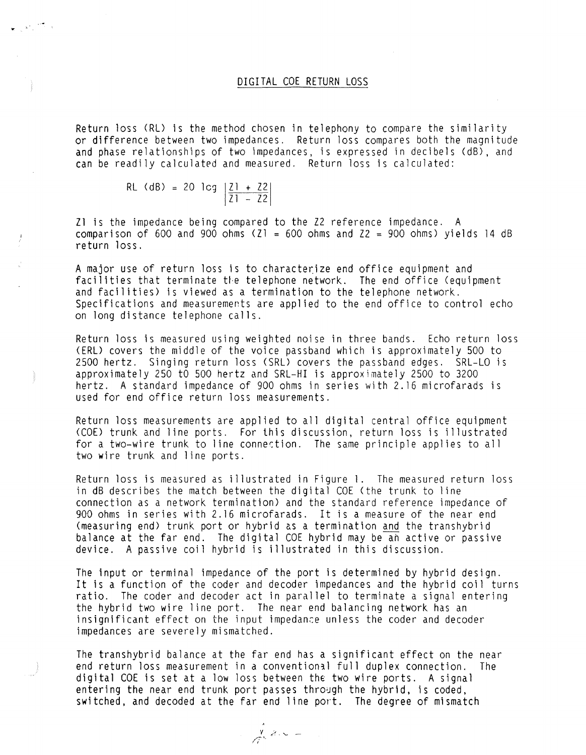## DIGITAL COE RETURN LOSS

Return loss (RL) is the method chosen in telephony to compare the similarity or difference between two impedances. Return loss compares both the magnitude and phase relationships of two impedances, is expressed in decibels (dB), and can be readily calculated and measured. Return loss is calculated:

> RL (dB) = 20 lcg  $21 + 22$ 21 - 22

Zl is the impedance being compared to the 22 reference impedance. A comparison of 600 and 900 ohms (Zl = 600 ohms and Z2 = 900 ohms) yields 14 dB return loss.

A major use of return loss is to characterize end office equipment and facilities that terminate the telephone network. The end office (equipment and facilities) is viewed as a termination to the telephone network. Specifications and measurements are applied to the end office to control echo on long distance telephone calls.

Return loss is measured using weighted noise in three bands. Echo return loss (ERL) covers the middle of the voice passband which is approximately 500 to 2500 hertz. Singing return loss (SRL) covers the passband edges. SRL-LO is approximately 250 to 500 hertz and SRL-HI is approximately 2500 to 3200 hertz. A standard impedance of 900 ohms in series with 2. 16 microfarads is used for end office return loss measurements.

Return loss measurements are applied to all digital central office equipment (COE) trunk and line ports. For this discussion, return loss is illustrated for a two-wire trunk to line connection. The same principle applies to all two **wire** trunk and line ports.

Return loss is measured as illustrated in Figure 1. The measured return loss in dB describes the match between the digital COE (the trunk to line connection as a network termination) and the standard reference impedance of 900 ohms in series with 2.16 microfarads. It is a measure of the near end (measuring end) trunk port or hybrid as a termination and the transhybrid balance at the far end. The digital COE hybrid may be an active or passive device. A passive coil hybrid is illustrated in this discussion.

The input or terminal impedance of the port is determined by hybrid design. It is a function of the coder and decoder impedances and the hybrid coil turns ratio. The coder and decoder act in parallel to terminate a signal entering the hybrid two wire line port. The near end balancing network has an insignificant effect on the input impedance unless the coder and decoder impedances are severely mismatched.

The transhybrid balance at the far end has a significant effect on the near end return loss measurement in a conventional full duplex connection. The digital COE is set at a low loss between the two wire ports. A signal entering the near end trunk port passes through the hybrid, is coded, switched, and decoded at the far end line port. The degree of mismatch

 $\int_{0}^{\infty} e^{-x} dx =$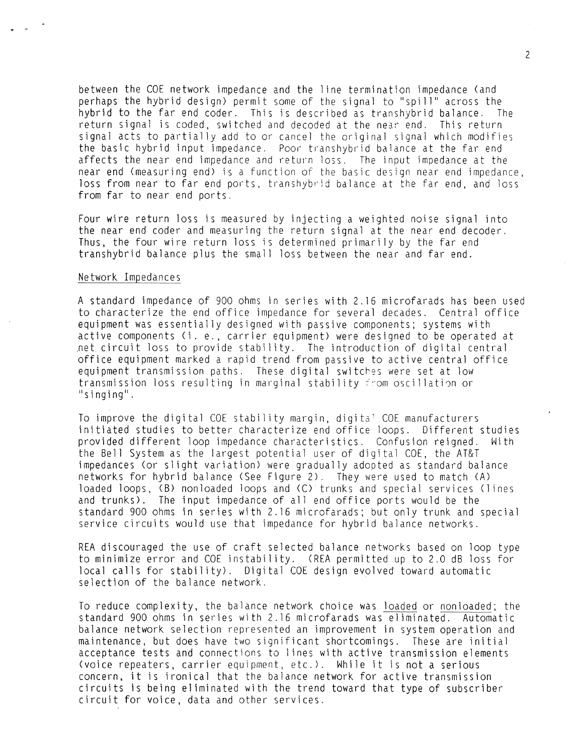between the COE network impedance and the line termination impedance (and perhaps the hybrid design) permit some of the signal to "spill" across the hybrid to the far end coder. This is described as transhybrid balance. The return signal is coded, switched and decoded at the near end. This return signal acts to partially add to or cancel the original signal which modifies the basic hybrid input impedance. Poor transhybrid balance at the far end affects the near end impedance and return loss. The input impedance at the near end (measuring end) is a function of the basic design near end impedance, loss from near to far end ports, transhybrid balance at the far end, and loss from far to near end ports.

Four wire return loss is measured by injecting a weighted noise signal into the near end coder and measuring the return signal at the near end decoder. Thus, the four wire return loss is determined primarily by the far end transhybrid balance plus the small loss between the near and far end.

## Network Impedances

 $\bullet$   $\bullet$  "

A standard impedance of 900 ohms in series with 2. 16 microfarads has been used to characterize the end office impedance for several decades. Central office equipment was essentially designed with passive components; systems with active components (i. e., carrier equipment) were designed to be operated at net circuit loss to provide stability. The introduction of digital central office equipment marked a rapid trend from passive to active central office equipment transmission paths. These digital switches were set at low transmission loss resulting in marginal stability from oscillation or "singing".

To improve the digital COE stability margin, digital COE manufacturers initiated studies to better characterize end office loops. Different studies provided different loop impedance characteristics. Confusion reigned. With the Bell System as the largest potential user of digital COE, the AT&T impedances (or slight variation) were gradually adopted as standard balance networks for hybrid balance (See Figure 2). They were used to match (A) loaded loops, (8) nonloaded loops and (C) trunks and special services (lines and trunks). The input impedance of all end office ports would be the standard 900 ohms in series with 2. 16 microfarads; but only trunk and special service circuits would use that impedance for hybrid balance networks.

REA discouraged the use of craft selected balance networks based on loop type to minimize error and COE instability. (REA permitted up to 2.0 dB loss for local calls for stability). Digital COE design evolved toward automatic selection of the balance network.

To reduce complexity, the balance network choice was loaded or nonloaded; the standard 900 ohms in series with 2. 16 microfarads was eliminated. Automatic balance network selection represented an improvement in system operation and maintenance, but does have two significant shortcomings. These are initial acceptance tests and connections to lines with active transmission elements <voice repeaters, carrier equipment, etc.). While it is not a serious concern, it is ironical that the balance network for active transmission circuits is being eliminated with the trend toward that type of subscriber circuit for voice, data and other services.

2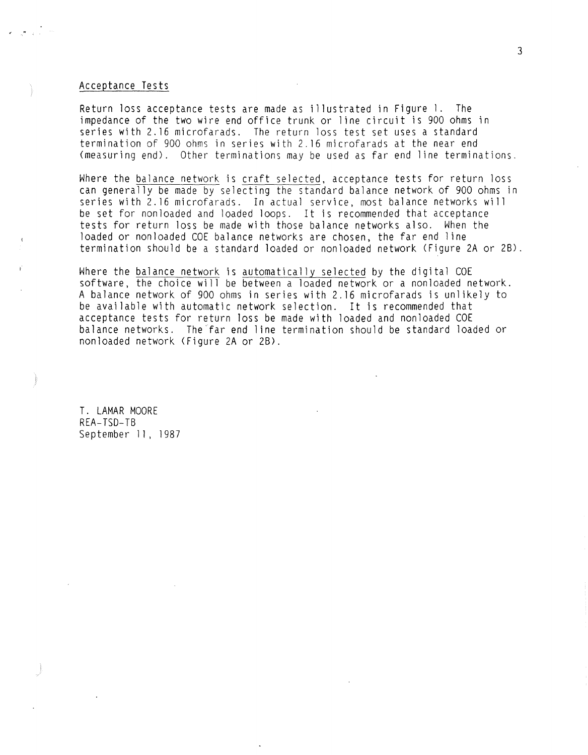## Acceptance Tests

 $\epsilon = \sqrt{2}$ 

Return loss acceptance tests are made as illustrated in Figure 1. The impedance of the two wire end office trunk or line circuit is 900 ohms in series with 2. 16 microfarads. The return loss test set uses a standard termination of 900 ohms in series with 2. 16 microfarads at the near end (measuring end). Other terminations may be used as far end line terminations.

Where the balance network is craft selected, acceptance tests for return loss can generally be made by selecting the standard balance network of 900 ohms in series with 2. 16 microfarads. In actual service, most balance networks will be set for nonloaded and loaded loops. It is recommended that acceptance tests for return loss be made with those balance networks also. When the loaded or nonloaded COE balance networks are chosen, the far end line termination should be a standard loaded or nonloaded network (Figure 2A or 28).

Where the balance network is automatically selected by the digital COE software, the choice will be between a loaded network or a nonloaded network. A balance network of 900 ohms in series with 2. 16 microfarads is unlikely to be available with automatic network selection. It is recommended that acceptance tests for return loss be made with loaded and nonloaded COE balance networks. The'far end line termination should be standard loaded or nonloaded network (Figure 2A or 28).

T. LAMAR MOORE REA-TSO-TB September 11, 1987